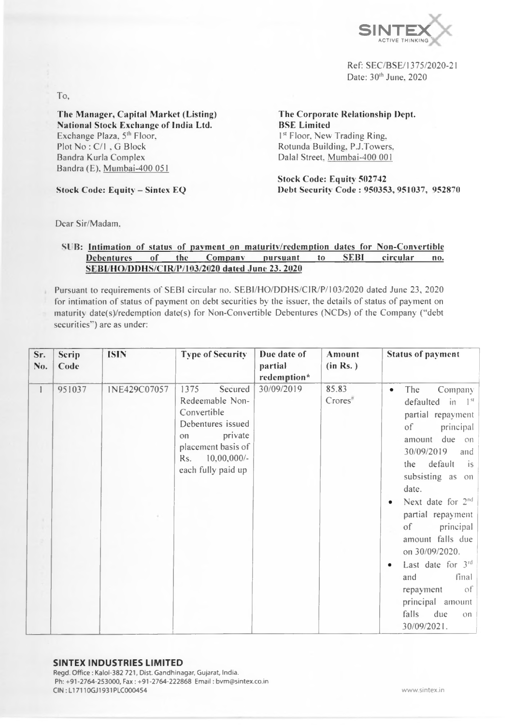

Ref: SEC/BSE/1375/2020-21 Date: 30<sup>th</sup> June, 2020

To,

The Manager, Capital Market (Listing) National Stock Exchange of India Ltd. Exchange Plaza, 5<sup>th</sup> Floor, Plot No: C/I, G Block Bandra Kurla Complex Bandra (E). Mumbai-400 051

Stock Code: Equity — Sintex EQ

The Corporate Relationship Dept. BSE Limited 1<sup>st</sup> Floor. New Trading Ring. Rotunda Building. P.J.Towers. Dalai Street. Mumbai-400 001

Stock Code: Equity 502742 Debt Security Code : 950353, 951037, 952870

Dear Sir/Madam.

### SUB: Intimation of status of payment on maturity/redemption dates for Non-Convertible Debentures of the Company pursuant to SEBI circular no. SEBI/HO/DDHS/CIR/P/103/2020 dated June 23. 2020

Pursuant to requirements of SEBI circular no. SEBI/HO/DDHS/CIR/P/103/2020 dated June 23, 2020 for intimation of status of payment on debt securities by the issuer, the details of status of payment on maturity date(s)/redemption date(s) for Non-Convertible Debentures (NCDs) of the Company ("debt securities") are as under:

| Sr.<br>No.   | Serip<br>Code | <b>ISIN</b>  | <b>Type of Security</b>                                                                                                                                      | Due date of<br>partial<br>redemption* | Amount<br>(in Rs.)                | <b>Status of payment</b>                                                                                                                                                                                                                                                                                                                                                                                                                                            |
|--------------|---------------|--------------|--------------------------------------------------------------------------------------------------------------------------------------------------------------|---------------------------------------|-----------------------------------|---------------------------------------------------------------------------------------------------------------------------------------------------------------------------------------------------------------------------------------------------------------------------------------------------------------------------------------------------------------------------------------------------------------------------------------------------------------------|
| $\mathbf{1}$ | 951037        | INE429C07057 | 1375<br>Secured<br>Redeemable Non-<br>Convertible<br>Debentures issued<br>private<br>on<br>placement basis of<br>$10,00,000/$ -<br>Rs.<br>each fully paid up | 30/09/2019                            | 85.83<br>$C$ rores $\overline{a}$ | The<br>Company<br>$\bullet$<br>defaulted<br>$\mathbf{m}$ $1^{\rm st}$<br>partial repayment<br>principal<br>of<br>due on<br>amount<br>30/09/2019<br>and<br>default<br>is<br>the<br>subsisting as<br>O11<br>date.<br>Next date for 2 <sup>nd</sup><br>partial repayment<br><sub>of</sub><br>principal<br>amount falls due<br>on 30/09/2020.<br>Last date for 3rd<br>final<br>and<br>of<br>repayment<br>principal amount<br>falls<br>due<br>$_{\rm ON}$<br>30/09/2021. |

#### SINTEX INDUSTRIES LIMITED

Regd. Office : Kaloi-382 721, Dist. Gandhinagar, Gujarat, India. Ph: +91-2764-253000, Fax: +91-2764-222868 Email: [bvm@sintex.co.in](mailto:bvm@sintex.co.in) CIN:L17110GJ1931PLC000454 [www.sintex.in](http://www.sintex.in)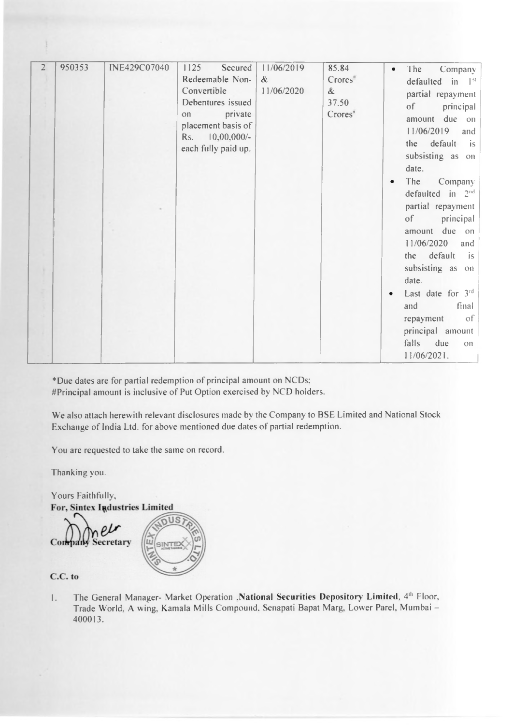| $\overline{2}$ | 950353 | <b>INE429C07040</b> | 1125<br>Secured     | 11/06/2019 | 85.84                    | The<br>Company<br>$\bullet$                |
|----------------|--------|---------------------|---------------------|------------|--------------------------|--------------------------------------------|
|                |        |                     | Redeemable Non-     | $\&$       | $C$ rores $\overline{a}$ | defaulted in 1 <sup>st</sup>               |
|                |        |                     | Convertible         | 11/06/2020 | &                        | partial repayment                          |
|                |        |                     | Debentures issued   |            | 37.50                    |                                            |
|                |        |                     | private<br>on       |            | Corores <sup>3</sup>     | principal<br>$\circ$ f                     |
|                |        |                     | placement basis of  |            |                          | amount due on                              |
|                |        |                     |                     |            |                          | 11/06/2019<br>and                          |
|                |        |                     | Rs. 10,00,000/-     |            |                          | the default<br>$\overline{\phantom{a}}$ is |
|                |        |                     | each fully paid up. |            |                          | subsisting as on                           |
|                |        |                     |                     |            |                          |                                            |
|                |        |                     |                     |            |                          | date.                                      |
|                |        |                     |                     |            |                          | The<br>Company                             |
|                |        |                     |                     |            |                          | defaulted in $2nd$                         |
|                |        |                     |                     |            |                          | partial repayment                          |
|                |        |                     |                     |            |                          | principal<br>$\circ$ f                     |
|                |        |                     |                     |            |                          | amount due on                              |
|                |        |                     |                     |            |                          |                                            |
|                |        |                     |                     |            |                          | 11/06/2020<br>and                          |
|                |        |                     |                     |            |                          | the default<br>$\left  \right $ is         |
|                |        |                     |                     |            |                          | subsisting as on                           |
|                |        |                     |                     |            |                          | date.                                      |
|                |        |                     |                     |            |                          |                                            |
|                |        |                     |                     |            |                          | Last date for $3^{rd}$                     |
|                |        |                     |                     |            |                          | final<br>and                               |
|                |        |                     |                     |            |                          | of<br>repayment                            |
|                |        |                     |                     |            |                          | principal amount                           |
|                |        |                     |                     |            |                          | falls<br>due<br><b>OII</b>                 |
|                |        |                     |                     |            |                          | $11/06/2021$ .                             |
|                |        |                     |                     |            |                          |                                            |

\*Due dates are for partial redemption of principal amount on NCDs; #Principal amount is inclusive of Put Option exercised by NCD holders.

We also attach herewith relevant disclosures made by the Company to BSE Limited and National Stock Exchange of India Ltd. for above mentioned due dates of partial redemption.

You are requested to take the same on record.

Thanking you.

Yours Faithfully,

Company Secretary



C.C. to

1. The General Manager- Market Operation .National Securities Depository Limited, 4<sup>th</sup> Floor, Trade World. A wing. Kamala Mills Compound. Senapati Bapat Marg. Lower Parel. Mumbai - 400013.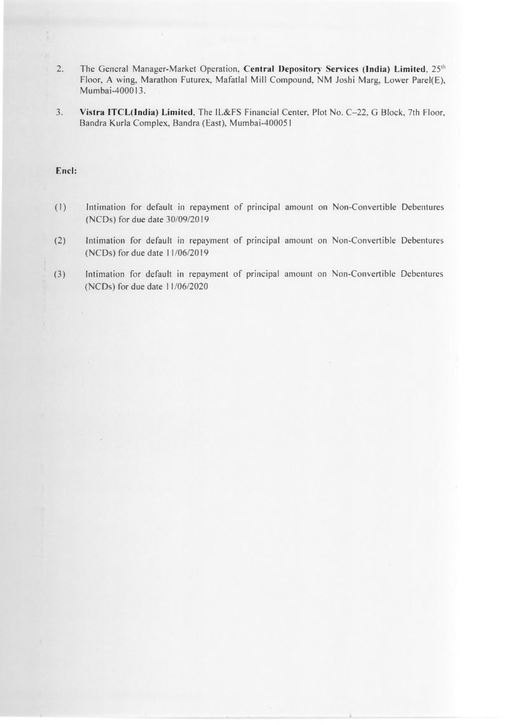- 2. The General Manager-Market Operation, Central Depository Services (India) Limited, 25<sup>th</sup> Floor, A wing, Marathon Futurex, Mafatlal Mill Compound, NM Joshi Marg, Lower Parel(E), Mumbai-400013.
- 3. Vistra ITCL(India) Limited, The IL&FS Financial Center, Plot No. C-22, G Block, 7th Floor, Bandra Kurla Complex. Bandra (East). Mumbai-400051

### Encl:

- (1) Intimation for default in repayment of principal amount on Non-Convertible Debentures (NCDs) for due date 30/09/2019
- (2) Intimation for default in repayment of principal amount on Non-Convertible Debentures (NCDs) for due date 11/06/2019
- (3) Intimation for default in repayment of principal amount on Non-Convertible Debentures (NCDs) for due date 11/06/2020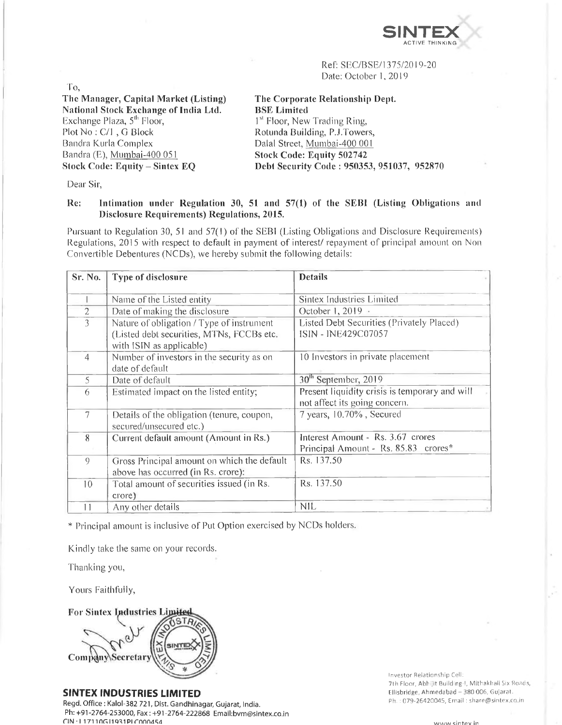

Ref: SEC/BSE/1375/2019-20 Date: October 1,2019

To, The Manager, Capital Market (Listing) National Stock Exchange of India Ltd. Exchange Plaza, 5<sup>th</sup> Floor, Plot No : C/l , G Block Bandra Kurla Complex Bandra (E), Mumbai-400 051 Stock Code: Equity - Sintex EQ

The Corporate Relationship Dept. BSE Limited <sup>1st</sup> Floor, New Trading Ring, Rotunda Building, P.J.Towers, Dalai Street, Mumbai-400 001 Stock Code: Equity 502742 Debt Security Code : 950353, 951037, 952870

Dear Sir,

### He: Intimation under Regulation 30, 51 and 57(1) of the SEB1 (Listing Obligations and Disclosure Requirements) Regulations, 2015.

Pursuant to Regulation 30, 51 and 57(1) of the SEBI (Listing Obligations and Disclosure Requirements) Regulations, 2015 with respect to default in payment of interest/ repayment of principal amount on Non Convertible Debentures (NCDs), we hereby submit the following details:

| Sr. No.         | Type of disclosure                                                                                                 | <b>Details</b>                                                                  |
|-----------------|--------------------------------------------------------------------------------------------------------------------|---------------------------------------------------------------------------------|
|                 | Name of the Listed entity                                                                                          | Sintex Industries Limited                                                       |
| $\mathbf{2}$    | Date of making the disclosure                                                                                      | October 1, 2019 ·                                                               |
| 3               | Nature of obligation / Type of instrument<br>(Listed debt securities, MTNs, FCCBs etc.<br>with ISIN as applicable) | Listed Debt Securities (Privately Placed)<br>ISIN - INE429C07057                |
| 4               | Number of investors in the security as on<br>date of default                                                       | 10 Investors in private placement                                               |
| 5               | Date of default                                                                                                    | 30 <sup>th</sup> September, 2019                                                |
| 6               | Estimated impact on the listed entity;                                                                             | Present liquidity crisis is temporary and will<br>not affect its going concern. |
| $\tau$          | Details of the obligation (tenure, coupon,<br>secured/unsecured etc.)                                              | 7 years, 10.70%, Secured                                                        |
| 8               | Current default amount (Amount in Rs.)                                                                             | Interest Amount - Rs. 3.67 crores                                               |
|                 |                                                                                                                    | Principal Amount - Rs. 85.83 crores*                                            |
| 9               | Gross Principal amount on which the default<br>above has occurred (in Rs. crore):                                  | Rs. 137.50                                                                      |
| 10              | Total amount of securities issued (in Rs.<br>crore)                                                                | Rs. 137.50                                                                      |
| $\vert$ $\vert$ | Any other details                                                                                                  | <b>NIL</b>                                                                      |

\* Principal amount is inclusive of Put Option exercised by NCDs holders.

Kindly take the same on your records.

Thanking you,

Yours Faithfully,

**For Sintex Industries Limites** Company Secretary

SINTEX INDUSTRIES LIMITED

Regd. Office : Kalol-382 721, Dist. Gandhinagar, Gujarat, India. Ph: +91-2764-253000, Fax: +91-2764-222868 Email:[bvm@sintex.co.in](mailto:bvm@sintex.co.in)  $CIN + 117110G11931PIC000454$ 

Investor Relationship Cell: 7th Floor, Abhijit Building-l, Mithakhali Six Road Ellisbridge, Ahmedabad - 380 006, Gujarat. Ph. : 079-26420045, Email : [share@sintex.co.in](mailto:share@sintex.co.in)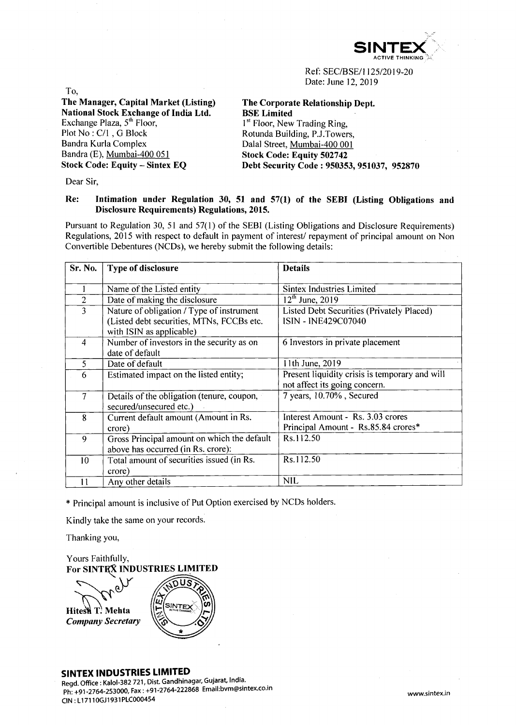

Ref: SEC/BSE/1125/2019-20 Date: June 12, 2019

To,

**The Manager, Capital Market (Listing) National Stock Exchange of India Ltd.** Exchange Plaza,  $5<sup>th</sup>$  Floor, Plot No : C/l , G Block Bandra Kurla Complex Bandra (E), Mumbai-400 051 **Stock Code: Equity - Sintex EQ**

**The Corporate Relationship Dept. BSE Limited** 1<sup>st</sup> Floor, New Trading Ring. Rotunda Building, P.J.Towers, Dalai Street, Mumbai-400 001 **Stock Code: Equity 502742 Debt Security Code : 950353, 951037, 952870**

Dear Sir,

# **Re: Intimation under Regulation 30, 51 and 57(1) of the SEBI (Listing Obligations and Disclosure Requirements) Regulations, 2015.**

Pursuant to Regulation 30, 51 and 57(1) of the SEBI (Listing Obligations and Disclosure Requirements) Regulations, 2015 with respect to default in payment of interest/ repayment of principal amount on Non Convertible Debentures (NCDs), we hereby submit the following details:

| Sr. No.                  | Type of disclosure                                                                                                 | <b>Details</b>                                                                  |
|--------------------------|--------------------------------------------------------------------------------------------------------------------|---------------------------------------------------------------------------------|
|                          | Name of the Listed entity                                                                                          | Sintex Industries Limited                                                       |
| $\overline{2}$           | Date of making the disclosure                                                                                      | $12^{th}$ June, 2019                                                            |
| $\overline{3}$           | Nature of obligation / Type of instrument<br>(Listed debt securities, MTNs, FCCBs etc.<br>with ISIN as applicable) | Listed Debt Securities (Privately Placed)<br><b>ISIN - INE429C07040</b>         |
| 4                        | Number of investors in the security as on<br>date of default                                                       | 6 Investors in private placement                                                |
| 5                        | Date of default                                                                                                    | 11th June, 2019                                                                 |
| 6                        | Estimated impact on the listed entity;                                                                             | Present liquidity crisis is temporary and will<br>not affect its going concern. |
| $\overline{\mathcal{I}}$ | Details of the obligation (tenure, coupon,<br>secured/unsecured etc.)                                              | 7 years, 10.70%, Secured                                                        |
| 8                        | Current default amount (Amount in Rs.<br>crore)                                                                    | Interest Amount - Rs. 3.03 crores<br>Principal Amount - Rs.85.84 crores*        |
| 9                        | Gross Principal amount on which the default<br>above has occurred (in Rs. crore):                                  | Rs.112.50                                                                       |
| 10 <sup>10</sup>         | Total amount of securities issued (in Rs.<br>crore)                                                                | Rs.112.50                                                                       |
| 11                       | Any other details                                                                                                  | <b>NIL</b>                                                                      |

\* Principal amount is inclusive of Put Option exercised by NCDs holders.

Kindly take the same on your records.

Thanking you,

Yours Faithfully, **For SINTEX INDUSTRIES LIMITED**

SINTE Hitest T. Mehta **Company Secretary** 

### SINTEX INDUSTRIES LIMITED

Regd. Office: Kalol-382 721, Dist. Gandhinagar, Gujarat, India. Ph: +91-2764-253000, Fax: +91-2764-222868 Email:[bvm@sintex.co.in](mailto:bvm@sintex.co.in) CIN: L17110GJ1931PLC000454